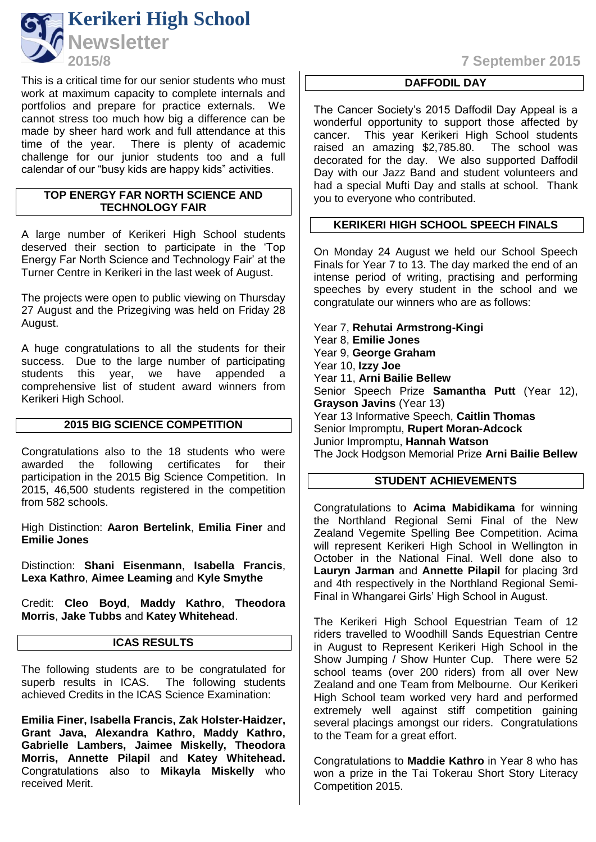

This is a critical time for our senior students who must work at maximum capacity to complete internals and portfolios and prepare for practice externals. We cannot stress too much how big a difference can be made by sheer hard work and full attendance at this time of the year. There is plenty of academic challenge for our junior students too and a full calendar of our "busy kids are happy kids" activities.

### **TOP ENERGY FAR NORTH SCIENCE AND TECHNOLOGY FAIR**

A large number of Kerikeri High School students deserved their section to participate in the 'Top Energy Far North Science and Technology Fair' at the Turner Centre in Kerikeri in the last week of August.

The projects were open to public viewing on Thursday 27 August and the Prizegiving was held on Friday 28 August.

A huge congratulations to all the students for their success. Due to the large number of participating students this year, we have appended a comprehensive list of student award winners from Kerikeri High School.

### **2015 BIG SCIENCE COMPETITION**

Congratulations also to the 18 students who were awarded the following certificates for their participation in the 2015 Big Science Competition. In 2015, 46,500 students registered in the competition from 582 schools.

High Distinction: **Aaron Bertelink**, **Emilia Finer** and **Emilie Jones**

Distinction: **Shani Eisenmann**, **Isabella Francis**, **Lexa Kathro**, **Aimee Leaming** and **Kyle Smythe**

Credit: **Cleo Boyd**, **Maddy Kathro**, **Theodora Morris**, **Jake Tubbs** and **Katey Whitehead**.

## **ICAS RESULTS**

The following students are to be congratulated for superb results in ICAS. The following students achieved Credits in the ICAS Science Examination:

**Emilia Finer, Isabella Francis, Zak Holster-Haidzer, Grant Java, Alexandra Kathro, Maddy Kathro, Gabrielle Lambers, Jaimee Miskelly, Theodora Morris, Annette Pilapil** and **Katey Whitehead.**  Congratulations also to **Mikayla Miskelly** who received Merit.

**2015/8 7 September 2015**

# **DAFFODIL DAY**

The Cancer Society's 2015 Daffodil Day Appeal is a wonderful opportunity to support those affected by cancer. This year Kerikeri High School students<br>raised an amazing \$2,785.80. The school was raised an amazing \$2,785.80. decorated for the day. We also supported Daffodil Day with our Jazz Band and student volunteers and had a special Mufti Day and stalls at school. Thank you to everyone who contributed.

# **KERIKERI HIGH SCHOOL SPEECH FINALS**

On Monday 24 August we held our School Speech Finals for Year 7 to 13. The day marked the end of an intense period of writing, practising and performing speeches by every student in the school and we congratulate our winners who are as follows:

Year 7, **Rehutai Armstrong-Kingi** Year 8, **Emilie Jones** Year 9, **George Graham** Year 10, **Izzy Joe** Year 11, **Arni Bailie Bellew** Senior Speech Prize **Samantha Putt** (Year 12), **Grayson Javins** (Year 13) Year 13 Informative Speech, **Caitlin Thomas** Senior Impromptu, **Rupert Moran-Adcock** Junior Impromptu, **Hannah Watson** The Jock Hodgson Memorial Prize **Arni Bailie Bellew**

# **STUDENT ACHIEVEMENTS**

Congratulations to **Acima Mabidikama** for winning the Northland Regional Semi Final of the New Zealand Vegemite Spelling Bee Competition. Acima will represent Kerikeri High School in Wellington in October in the National Final. Well done also to **Lauryn Jarman** and **Annette Pilapil** for placing 3rd and 4th respectively in the Northland Regional Semi-Final in Whangarei Girls' High School in August.

The Kerikeri High School Equestrian Team of 12 riders travelled to Woodhill Sands Equestrian Centre in August to Represent Kerikeri High School in the Show Jumping / Show Hunter Cup. There were 52 school teams (over 200 riders) from all over New Zealand and one Team from Melbourne. Our Kerikeri High School team worked very hard and performed extremely well against stiff competition gaining several placings amongst our riders. Congratulations to the Team for a great effort.

Congratulations to **Maddie Kathro** in Year 8 who has won a prize in the Tai Tokerau Short Story Literacy Competition 2015.